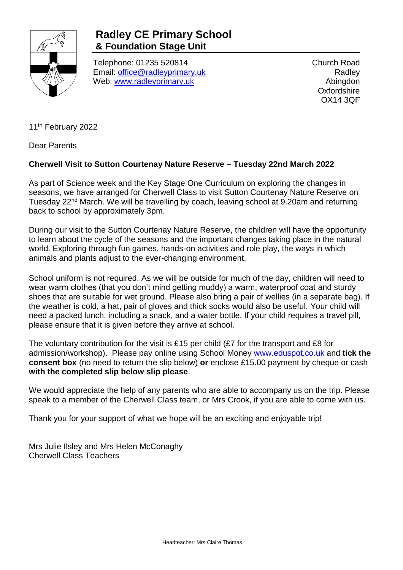

## **Radley CE Primary School & Foundation Stage Unit**

Telephone: 01235 520814 Email: [office@radleyprimary.uk](mailto:office@radleyprimary.uk) Web: [www.radleyprimary.uk](http://www.radleyprimary.uk/)

Church Road **Radley** Abingdon **Oxfordshire** OX14 3QF

11<sup>th</sup> February 2022

Dear Parents

## **Cherwell Visit to Sutton Courtenay Nature Reserve – Tuesday 22nd March 2022**

As part of Science week and the Key Stage One Curriculum on exploring the changes in seasons, we have arranged for Cherwell Class to visit Sutton Courtenay Nature Reserve on Tuesday 22<sup>nd</sup> March. We will be travelling by coach, leaving school at 9.20am and returning back to school by approximately 3pm.

During our visit to the Sutton Courtenay Nature Reserve, the children will have the opportunity to learn about the cycle of the seasons and the important changes taking place in the natural world. Exploring through fun games, hands-on activities and role play, the ways in which animals and plants adjust to the ever-changing environment.

School uniform is not required. As we will be outside for much of the day, children will need to wear warm clothes (that you don't mind getting muddy) a warm, waterproof coat and sturdy shoes that are suitable for wet ground. Please also bring a pair of wellies (in a separate bag). If the weather is cold, a hat, pair of gloves and thick socks would also be useful. Your child will need a packed lunch, including a snack, and a water bottle. If your child requires a travel pill, please ensure that it is given before they arrive at school.

The voluntary contribution for the visit is £15 per child (£7 for the transport and £8 for admission/workshop). Please pay online using School Money [www.eduspot.co.uk](http://www.eduspot.co.uk/) and **tick the consent box** (no need to return the slip below) **or** enclose £15.00 payment by cheque or cash **with the completed slip below slip please**.

We would appreciate the help of any parents who are able to accompany us on the trip. Please speak to a member of the Cherwell Class team, or Mrs Crook, if you are able to come with us.

Thank you for your support of what we hope will be an exciting and enjoyable trip!

Mrs Julie Ilsley and Mrs Helen McConaghy Cherwell Class Teachers